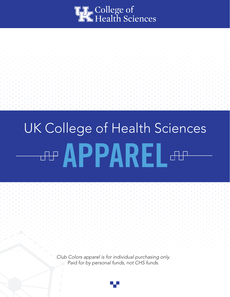

# UK College of Health Sciences **APPAREL AP**

*Club Colors apparel is for individual purchasing only. Paid for by personal funds, not CHS funds.*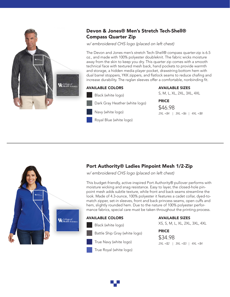

## Devon & Jones® Men's Stretch Tech-Shell® Compass Quarter Zip

*w/ embroidered CHS logo (placed on left chest)*

The Devon and Jones men's stretch Tech-Shell® compass quarter-zip is 6.5 oz., and made with 100% polyester doubleknit. The fabric wicks moisture away from the skin to keep you dry. This quarter zip comes with a smooth technical face with textured mesh back, hand pockets to provide warmth and storage, a hidden media player pocket, drawstring bottom hem with dual barrel stoppers, YKK zippers, and flatlock seams to reduce chafing and increase durability. The raglan sleeves offer a comfortable, nonbinding fit.

## AVAILABLE COLORS Black (white logo) Dark Gray Heather (white logo) Navy (white logo) Royal Blue (white logo)

AVAILABLE SIZES

S, M, L, XL, 2XL, 3XL, 4XL

#### PRICE

\$46.98 *2XL +\$4* | *3XL +\$6* | *4XL +\$8* 



## Port Authority® Ladies Pinpoint Mesh 1/2-Zip

*w/ embroidered CHS logo (placed on left chest)*

This budget-friendly, active-inspired Port Authority® pullover performs with moisture wicking and snag resistance. Easy to layer, the closed-hole pinpoint mesh adds subtle texture, while front and back seams streamline the look. Made of 4.3-ounce, 100% polyester it features a cadet collar, dyed-tomatch zipper, set-in sleeves, front and back princess seams, open cuffs and hem, slightly rounded hem. Due to the nature of 100% polyester performance fabrics, special care must be taken throughout the printing process.

#### AVAILABLE COLORS



Black (white logo)

- Battle Ship Gray (white logo)
- True Navy (white logo)
- True Royal (white logo)

#### AVAILABLE SIZES

XS, S, M, L, XL, 2XL, 3XL, 4XL

#### PRICE

\$34.98 *2XL +\$2* | *3XL +\$3* | *4XL +\$4* 

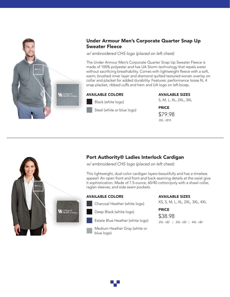

## Under Armour Men's Corporate Quarter Snap Up Sweater Fleece

*w/ embroidered CHS logo (placed on left chest)*

The Under Armour Men's Corporate Quarter Snap Up Sweater Fleece is made of 100% polyester and has UA Storm technology that repels water without sacrificing breathability. Comes with lightweight fleece with a soft, warm, brushed inner layer and diamond quilted textured woven overlay on collar and placket for added durability. Features: performance loose fit, 4 snap placket, ribbed cuffs and hem and UA logo on left bicep.

### AVAILABLE COLORS

Black (white logo) Steel (white or blue logo) AVAILABLE SIZES PRICE S, M, L, XL, 2XL, 3XL \$79.98 *3XL +\$10*



## Port Authority® Ladies Interlock Cardigan

*w/ embroidered CHS logo (placed on left chest)*

This lightweight, dual-color cardigan layers beautifully and has a timeless appeal! An open front and front and back seaming details at the waist give it sophistication. Made of 7.5-ounce, 60/40 cotton/poly with a shawl collar, raglan sleeves, and side seam pockets.

#### AVAILABLE COLORS

Charcoal Heather (white logo)



- Estate Blue Heather (white logo)
- Medium Heather Gray (white or blue logo)

#### AVAILABLE SIZES

XS, S, M, L, XL, 2XL, 3XL, 4XL

#### PRICE

\$38.98 *2XL +\$2* | *3XL +\$3* | *4XL +\$4* 

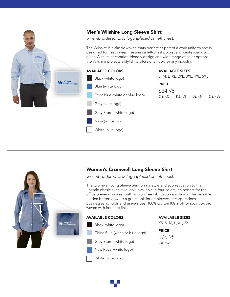

## Men's Wilshire Long Sleeve Shirt

*w/ embroidered CHS logo (placed on left chest)*

The Wilshire is a classic woven thats perfect as part of a work uniform and is designed for heavy wear. Features a left-chest pocket and center-back box pleat. With its decoration-friendly design and wide range of color options, the Wilshire projects a stylish, professional look for any industry.

#### AVAILABLE COLORS



White (blue logo)

AVAILABLE SIZES

S, M, L, XL, 2XL, 3XL, 4XL, 5XL

#### PRICE

\$34.98 *2XL +\$2* | *3XL +\$3* | *4XL +\$4* | *5XL + \$6*



## Women's Cromwell Long Sleeve Shirt

*w/ embroidered CHS logo (placed on left chest)*

The Cromwell Long Sleeve Shirt brings style and sophistication to the upscale classic executive look. Available in four colors, it's perfect for the office & everyday wear, with an iron free fabrication and finish. This versatile hidden button down is a great look for employees at corporations, small businesses, schools and universities. 100% Cotton 80s 2-ply pinpoint oxford woven with iron free finish.

#### AVAILABLE COLORS

- Black (white logo)
- China Blue (white or blue logo)
- Gray Storm (white logo)
- New Royal (white logo)
- White (blue logo)

AVAILABLE SIZES

XS, S, M, L, XL, 2XL

PRICE \$76.98 *2XL +\$2*

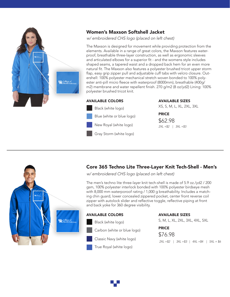

## Women's Maxson Softshell Jacket

*w/ embroidered CHS logo (placed on left chest)*

The Maxson is designed for movement while providing protection from the elements. Available in a range of great colors, the Maxson features waterproof, breathable three-layer construction, as well as ergonomic sleeves and articulated elbows for a superior fit - and the womens style includes shaped seams, a tapered waist and a dropped back hem for an even more natural fit. The Maxson also features a polyester brushed tricot upper storm flap, easy grip zipper pull and adjustable cuff tabs with velcro closure. Outershell: 100% polyester mechanical stretch woven bonded to 100% polyester anti-pill micro fleece with waterproof (8000mm), breathable (400g/ m2) membrane and water repellent finish. 270 g/m2 (8 oz/yd2) Lining: 100% polyester brushed tricot knit.

#### AVAILABLE COLORS



#### AVAILABLE SIZES

XS, S, M, L, XL, 2XL, 3XL

PRICE \$62.98

*2XL +\$2* | *3XL +\$3*



## Core 365 Techno Lite Three-Layer Knit Tech-Shell - Men's

*w/ embroidered CHS logo (placed on left chest)*

The men's techno lite three-layer knit tech-shell is made of 5.9 oz./yd2 / 200 gsm, 100% polyester interlock bonded with 100% polyester birdseye mesh with 8,000 mm waterporoof rating / 1,000 g breathability. Includes a matching chin guard, lower concealed zippered pocket, center front reverse coil zipper with autolock slider and reflective toggle, reflective piping at front and back yoke for 360 degree visibility.

#### AVAILABLE COLORS

Black (white logo) Carbon (white or blue logo) Classic Navy (white logo) True Royal (white logo)

#### AVAILABLE SIZES

S, M, L, XL, 2XL, 3XL, 4XL, 5XL

PRICE \$76.98 *2XL +\$2* | *3XL +\$3* | *4XL +\$4* | *5XL + \$6*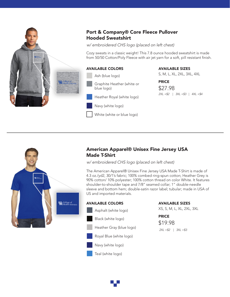

## Port & Company® Core Fleece Pullover Hooded Sweatshirt

*w/ embroidered CHS logo (placed on left chest)*

Cozy sweats in a classic weight! This 7.8 ounce hooded sweatshirt is made from 50/50 Cotton/Poly Fleece with air jet yarn for a soft, pill resistant finish.

#### AVAILABLE COLORS

Ash (blue logo)

- Graphite Heather (white or blue logo)
- Heather Royal (white logo)
- Navy (white logo)
- White (white or blue logo)

#### AVAILABLE SIZES

S, M, L, XL, 2XL, 3XL, 4XL

PRICE \$27.98 *2XL +\$2* | *3XL +\$3* | *4XL +\$4*



## American Apparel® Unisex Fine Jersey USA Made T-Shirt

*w/ embroidered CHS logo (placed on left chest)*

The American Apparel® Unisex Fine Jersey USA Made T-Shirt is made of 4.3 oz./yd2, 30/1's fabric; 100% combed ring-spun cotton; Heather Grey is 90% cotton/ 10% polyester; 100% cotton thread on color White. It features shoulder-to-shoulder tape and 7/8" seamed collar; 1" double-needle sleeve and bottom hem; double-satin razor label; tubular; made in USA of US and imported materials.

## AVAILABLE COLORS

Asphalt (white logo) Heather Gray (blue logo) Navy (white logo) Teal (white logo) Black (white logo) Royal Blue (white logo)

#### AVAILABLE SIZES

XS, S, M, L, XL, 2XL, 3XL

PRICE \$19.98

*2XL +\$2* | *3XL +\$3*